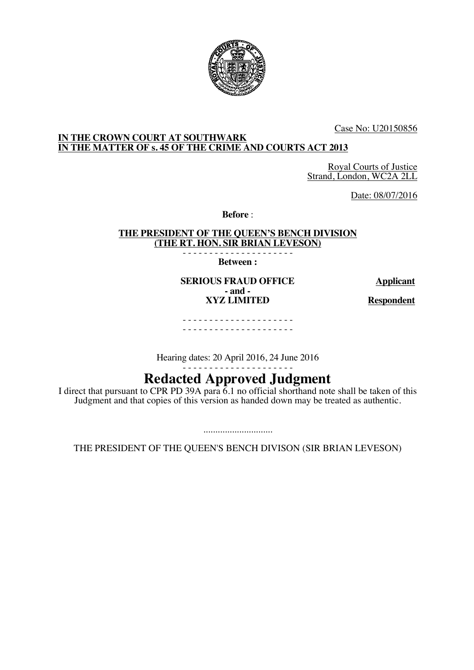

Case No: U20150856

## **IN THE CROWN COURT AT SOUTHWARK IN THE MATTER OF s. 45 OF THE CRIME AND COURTS ACT 2013**

Royal Courts of Justice Strand, London, WC2A 2LL

Date: 08/07/2016

**Before** :

**THE PRESIDENT OF THE QUEEN'S BENCH DIVISION (THE RT. HON. SIR BRIAN LEVESON)**

- - - - - - - - - - - - - - - - - - - - - **Between :**

**SERIOUS FRAUD OFFICE Applicant - and - XYZ LIMITED Respondent**

- - - - - - - - - - - - - - - - - - - - - - - - - - - - - - - - - - - - - - - - - -

Hearing dates: 20 April 2016, 24 June 2016

# - - - - - - - - - - - - - - - - - - - - - **Redacted Approved Judgment**

I direct that pursuant to CPR PD 39A para 6.1 no official shorthand note shall be taken of this Judgment and that copies of this version as handed down may be treated as authentic.

............................. THE PRESIDENT OF THE QUEEN'S BENCH DIVISON (SIR BRIAN LEVESON)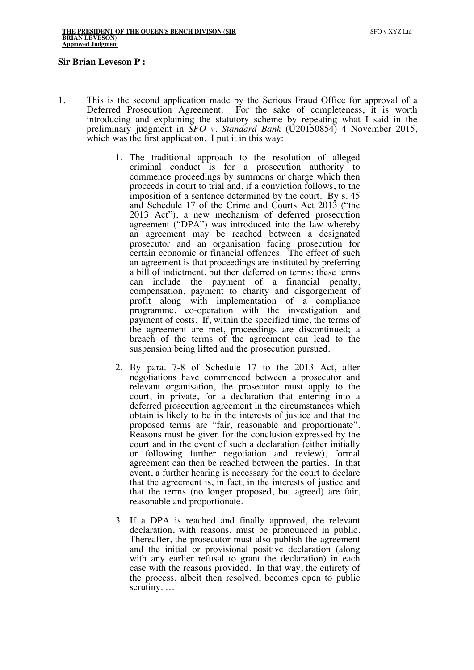#### **Sir Brian Leveson P :**

- 1. This is the second application made by the Serious Fraud Office for approval of a Deferred Prosecution Agreement. For the sake of completeness, it is worth For the sake of completeness, it is worth. introducing and explaining the statutory scheme by repeating what I said in the preliminary judgment in *SFO v. Standard Bank* (U20150854) 4 November 2015, which was the first application. I put it in this way:
	- 1. The traditional approach to the resolution of alleged criminal conduct is for a prosecution authority to commence proceedings by summons or charge which then proceeds in court to trial and, if a conviction follows, to the imposition of a sentence determined by the court. By s. 45 and Schedule 17 of the Crime and Courts Act 2013 ("the 2013 Act"), a new mechanism of deferred prosecution agreement ("DPA") was introduced into the law whereby an agreement may be reached between a designated prosecutor and an organisation facing prosecution for certain economic or financial offences. The effect of such an agreement is that proceedings are instituted by preferring a bill of indictment, but then deferred on terms: these terms can include the payment of a financial penalty, compensation, payment to charity and disgorgement of profit along with implementation of a compliance programme, co-operation with the investigation and payment of costs. If, within the specified time, the terms of the agreement are met, proceedings are discontinued; a breach of the terms of the agreement can lead to the suspension being lifted and the prosecution pursued.
	- 2. By para. 7-8 of Schedule 17 to the 2013 Act, after negotiations have commenced between a prosecutor and relevant organisation, the prosecutor must apply to the court, in private, for a declaration that entering into a deferred prosecution agreement in the circumstances which obtain is likely to be in the interests of justice and that the proposed terms are "fair, reasonable and proportionate". Reasons must be given for the conclusion expressed by the court and in the event of such a declaration (either initially or following further negotiation and review), formal agreement can then be reached between the parties. In that event, a further hearing is necessary for the court to declare that the agreement is, in fact, in the interests of justice and that the terms (no longer proposed, but agreed) are fair, reasonable and proportionate.
	- 3. If a DPA is reached and finally approved, the relevant declaration, with reasons, must be pronounced in public. Thereafter, the prosecutor must also publish the agreement and the initial or provisional positive declaration (along with any earlier refusal to grant the declaration) in each case with the reasons provided. In that way, the entirety of the process, albeit then resolved, becomes open to public scrutiny. …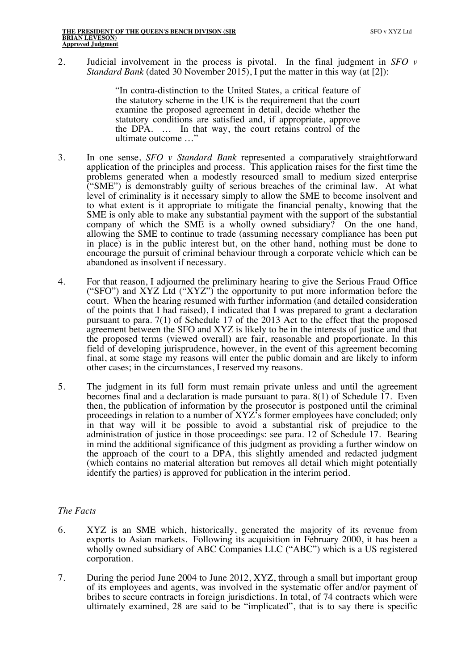2. Judicial involvement in the process is pivotal. In the final judgment in *SFO v Standard Bank* (dated 30 November 2015), I put the matter in this way (at [2]):

> "In contra-distinction to the United States, a critical feature of the statutory scheme in the UK is the requirement that the court examine the proposed agreement in detail, decide whether the statutory conditions are satisfied and, if appropriate, approve the DPA. … In that way, the court retains control of the ultimate outcome …"

- 3. In one sense, *SFO v Standard Bank* represented a comparatively straightforward application of the principles and process. This application raises for the first time the problems generated when a modestly resourced small to medium sized enterprise ("SME") is demonstrably guilty of serious breaches of the criminal law. At what level of criminality is it necessary simply to allow the SME to become insolvent and to what extent is it appropriate to mitigate the financial penalty, knowing that the SME is only able to make any substantial payment with the support of the substantial company of which the SME is a wholly owned subsidiary? On the one hand, allowing the SME to continue to trade (assuming necessary compliance has been put in place) is in the public interest but, on the other hand, nothing must be done to encourage the pursuit of criminal behaviour through a corporate vehicle which can be abandoned as insolvent if necessary.
- 4. For that reason, I adjourned the preliminary hearing to give the Serious Fraud Office ("SFO") and XYZ Ltd ("XYZ") the opportunity to put more information before the court. When the hearing resumed with further information (and detailed consideration of the points that I had raised), I indicated that I was prepared to grant a declaration pursuant to para. 7(1) of Schedule 17 of the 2013 Act to the effect that the proposed agreement between the SFO and XYZ is likely to be in the interests of justice and that the proposed terms (viewed overall) are fair, reasonable and proportionate. In this field of developing jurisprudence, however, in the event of this agreement becoming final, at some stage my reasons will enter the public domain and are likely to inform other cases; in the circumstances, I reserved my reasons.
- 5. The judgment in its full form must remain private unless and until the agreement becomes final and a declaration is made pursuant to para. 8(1) of Schedule 17. Even then, the publication of information by the prosecutor is postponed until the criminal proceedings in relation to a number of XYZ's former employees have concluded; only in that way will it be possible to avoid a substantial risk of prejudice to the administration of justice in those proceedings: see para. 12 of Schedule 17. Bearing in mind the additional significance of this judgment as providing a further window on the approach of the court to a DPA, this slightly amended and redacted judgment (which contains no material alteration but removes all detail which might potentially identify the parties) is approved for publication in the interim period.

## *The Facts*

- 6. XYZ is an SME which, historically, generated the majority of its revenue from exports to Asian markets. Following its acquisition in February 2000, it has been a wholly owned subsidiary of ABC Companies LLC ("ABC") which is a US registered corporation.
- 7. During the period June 2004 to June 2012, XYZ, through a small but important group of its employees and agents, was involved in the systematic offer and/or payment of bribes to secure contracts in foreign jurisdictions. In total, of 74 contracts which were ultimately examined, 28 are said to be "implicated", that is to say there is specific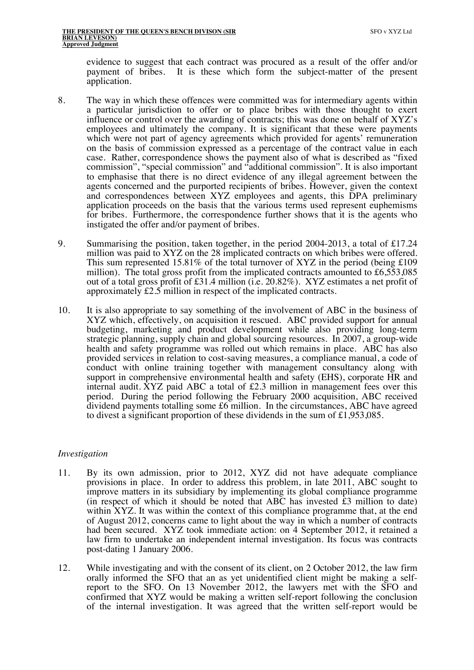evidence to suggest that each contract was procured as a result of the offer and/or payment of bribes. It is these which form the subject-matter of the present application.

- 8. The way in which these offences were committed was for intermediary agents within a particular jurisdiction to offer or to place bribes with those thought to exert influence or control over the awarding of contracts; this was done on behalf of XYZ's employees and ultimately the company. It is significant that these were payments which were not part of agency agreements which provided for agents' remuneration on the basis of commission expressed as a percentage of the contract value in each case. Rather, correspondence shows the payment also of what is described as "fixed commission", "special commission" and "additional commission". It is also important to emphasise that there is no direct evidence of any illegal agreement between the agents concerned and the purported recipients of bribes. However, given the context and correspondences between XYZ employees and agents, this DPA preliminary application proceeds on the basis that the various terms used represent euphemisms for bribes. Furthermore, the correspondence further shows that it is the agents who instigated the offer and/or payment of bribes.
- 9. Summarising the position, taken together, in the period 2004-2013, a total of £17.24 million was paid to XYZ on the 28 implicated contracts on which bribes were offered. This sum represented 15.81% of the total turnover of XYZ in the period (being  $\pounds 109$ ) million). The total gross profit from the implicated contracts amounted to £6,553,085 out of a total gross profit of £31.4 million (i.e. 20.82%). XYZ estimates a net profit of approximately £2.5 million in respect of the implicated contracts.
- 10. It is also appropriate to say something of the involvement of ABC in the business of XYZ which, effectively, on acquisition it rescued. ABC provided support for annual budgeting, marketing and product development while also providing long-term strategic planning, supply chain and global sourcing resources. In 2007, a group-wide health and safety programme was rolled out which remains in place. ABC has also provided services in relation to cost-saving measures, a compliance manual, a code of conduct with online training together with management consultancy along with support in comprehensive environmental health and safety (EHS), corporate HR and internal audit. XYZ paid ABC a total of £2.3 million in management fees over this period. During the period following the February 2000 acquisition, ABC received dividend payments totalling some £6 million. In the circumstances, ABC have agreed to divest a significant proportion of these dividends in the sum of £1,953,085.

#### *Investigation*

- 11. By its own admission, prior to 2012, XYZ did not have adequate compliance provisions in place. In order to address this problem, in late 2011, ABC sought to improve matters in its subsidiary by implementing its global compliance programme (in respect of which it should be noted that  $AB\tilde{C}$  has invested  $\tilde{E}3$  million to date) within XYZ. It was within the context of this compliance programme that, at the end of August 2012, concerns came to light about the way in which a number of contracts had been secured. XYZ took immediate action: on 4 September 2012, it retained a law firm to undertake an independent internal investigation. Its focus was contracts post-dating 1 January 2006.
- 12. While investigating and with the consent of its client, on 2 October 2012, the law firm orally informed the SFO that an as yet unidentified client might be making a selfreport to the SFO. On 13 November 2012, the lawyers met with the SFO and confirmed that XYZ would be making a written self-report following the conclusion of the internal investigation. It was agreed that the written self-report would be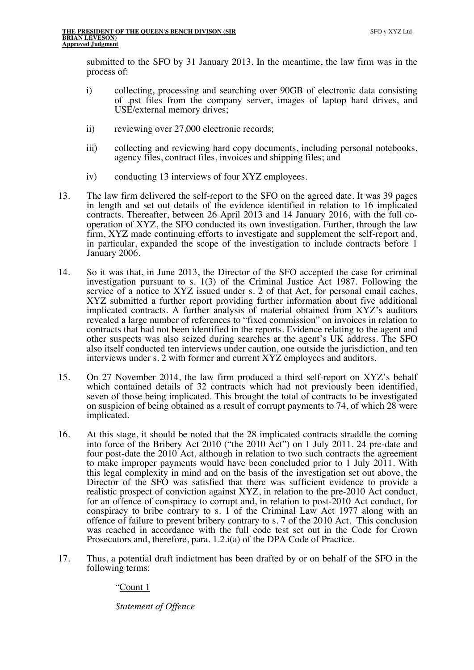submitted to the SFO by 31 January 2013. In the meantime, the law firm was in the process of:

- i) collecting, processing and searching over 90GB of electronic data consisting of .pst files from the company server, images of laptop hard drives, and USE/external memory drives;
- ii) reviewing over 27,000 electronic records;
- iii) collecting and reviewing hard copy documents, including personal notebooks, agency files, contract files, invoices and shipping files; and
- iv) conducting 13 interviews of four XYZ employees.
- 13. The law firm delivered the self-report to the SFO on the agreed date. It was 39 pages in length and set out details of the evidence identified in relation to 16 implicated contracts. Thereafter, between 26 April 2013 and 14 January 2016, with the full cooperation of XYZ, the SFO conducted its own investigation. Further, through the law firm, XYZ made continuing efforts to investigate and supplement the self-report and, in particular, expanded the scope of the investigation to include contracts before 1 January 2006.
- 14. So it was that, in June 2013, the Director of the SFO accepted the case for criminal investigation pursuant to s. 1(3) of the Criminal Justice Act 1987. Following the service of a notice to XYZ issued under s. 2 of that Act, for personal email caches, XYZ submitted a further report providing further information about five additional implicated contracts. A further analysis of material obtained from XYZ's auditors revealed a large number of references to "fixed commission" on invoices in relation to contracts that had not been identified in the reports. Evidence relating to the agent and other suspects was also seized during searches at the agent's UK address. The SFO also itself conducted ten interviews under caution, one outside the jurisdiction, and ten interviews under s. 2 with former and current XYZ employees and auditors.
- 15. On 27 November 2014, the law firm produced a third self-report on XYZ's behalf which contained details of 32 contracts which had not previously been identified, seven of those being implicated. This brought the total of contracts to be investigated on suspicion of being obtained as a result of corrupt payments to 74, of which 28 were implicated.
- 16. At this stage, it should be noted that the 28 implicated contracts straddle the coming into force of the Bribery Act 2010 ("the 2010 Act") on 1 July 2011. 24 pre-date and four post-date the 2010 Act, although in relation to two such contracts the agreement to make improper payments would have been concluded prior to 1 July 2011. With this legal complexity in mind and on the basis of the investigation set out above, the Director of the SFO was satisfied that there was sufficient evidence to provide a realistic prospect of conviction against XYZ, in relation to the pre-2010 Act conduct, for an offence of conspiracy to corrupt and, in relation to post-2010 Act conduct, for conspiracy to bribe contrary to s. 1 of the Criminal Law Act 1977 along with an offence of failure to prevent bribery contrary to s. 7 of the 2010 Act. This conclusion was reached in accordance with the full code test set out in the Code for Crown Prosecutors and, therefore, para. 1.2.i(a) of the DPA Code of Practice.
- 17. Thus, a potential draft indictment has been drafted by or on behalf of the SFO in the following terms:

"Count 1

*Statement of Offence*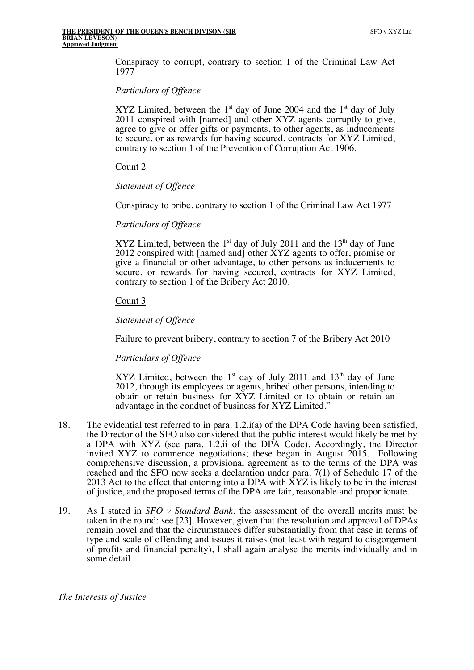Conspiracy to corrupt, contrary to section 1 of the Criminal Law Act 1977

### *Particulars of Offence*

XYZ Limited, between the  $1<sup>st</sup>$  day of June 2004 and the  $1<sup>st</sup>$  day of July 2011 conspired with [named] and other XYZ agents corruptly to give, agree to give or offer gifts or payments, to other agents, as inducements to secure, or as rewards for having secured, contracts for XYZ Limited, contrary to section 1 of the Prevention of Corruption Act 1906.

### Count 2

### *Statement of Offence*

Conspiracy to bribe, contrary to section 1 of the Criminal Law Act 1977

### *Particulars of Offence*

XYZ Limited, between the  $1<sup>st</sup>$  day of July 2011 and the  $13<sup>th</sup>$  day of June 2012 conspired with [named and] other XYZ agents to offer, promise or give a financial or other advantage, to other persons as inducements to secure, or rewards for having secured, contracts for XYZ Limited, contrary to section 1 of the Bribery Act 2010.

## Count 3

## *Statement of Offence*

Failure to prevent bribery, contrary to section 7 of the Bribery Act 2010

## *Particulars of Offence*

XYZ Limited, between the  $1<sup>st</sup>$  day of July 2011 and  $13<sup>th</sup>$  day of June 2012, through its employees or agents, bribed other persons, intending to obtain or retain business for XYZ Limited or to obtain or retain an advantage in the conduct of business for XYZ Limited."

- 18. The evidential test referred to in para. 1.2.i(a) of the DPA Code having been satisfied, the Director of the SFO also considered that the public interest would likely be met by a DPA with XYZ (see para. 1.2.ii of the DPA Code). Accordingly, the Director invited XYZ to commence negotiations; these began in August 2015. Following comprehensive discussion, a provisional agreement as to the terms of the DPA was reached and the SFO now seeks a declaration under para. 7(1) of Schedule 17 of the 2013 Act to the effect that entering into a DPA with XYZ is likely to be in the interest of justice, and the proposed terms of the DPA are fair, reasonable and proportionate.
- 19. As I stated in *SFO v Standard Bank*, the assessment of the overall merits must be taken in the round: see [23]. However, given that the resolution and approval of DPAs remain novel and that the circumstances differ substantially from that case in terms of type and scale of offending and issues it raises (not least with regard to disgorgement of profits and financial penalty), I shall again analyse the merits individually and in some detail.

#### *The Interests of Justice*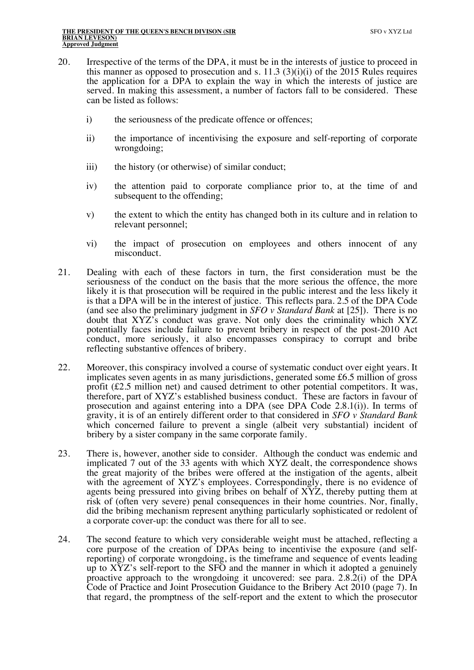- 20. Irrespective of the terms of the DPA, it must be in the interests of justice to proceed in this manner as opposed to prosecution and s. 11.3 (3)(i)(i) of the 2015 Rules requires the application for a DPA to explain the way in which the interests of justice are served. In making this assessment, a number of factors fall to be considered. These can be listed as follows:
	- i) the seriousness of the predicate offence or offences;
	- ii) the importance of incentivising the exposure and self-reporting of corporate wrongdoing;
	- iii) the history (or otherwise) of similar conduct;
	- iv) the attention paid to corporate compliance prior to, at the time of and subsequent to the offending;
	- v) the extent to which the entity has changed both in its culture and in relation to relevant personnel;
	- vi) the impact of prosecution on employees and others innocent of any misconduct.
- 21. Dealing with each of these factors in turn, the first consideration must be the seriousness of the conduct on the basis that the more serious the offence, the more likely it is that prosecution will be required in the public interest and the less likely it is that a DPA will be in the interest of justice. This reflects para. 2.5 of the DPA Code (and see also the preliminary judgment in *SFO v Standard Bank* at [25]). There is no doubt that XYZ's conduct was grave. Not only does the criminality which XYZ potentially faces include failure to prevent bribery in respect of the post-2010 Act conduct, more seriously, it also encompasses conspiracy to corrupt and bribe reflecting substantive offences of bribery.
- 22. Moreover, this conspiracy involved a course of systematic conduct over eight years. It implicates seven agents in as many jurisdictions, generated some £6.5 million of gross profit (£2.5 million net) and caused detriment to other potential competitors. It was, therefore, part of XYZ's established business conduct. These are factors in favour of prosecution and against entering into a DPA (see DPA Code 2.8.1(i)). In terms of gravity, it is of an entirely different order to that considered in *SFO v Standard Bank*  which concerned failure to prevent a single (albeit very substantial) incident of bribery by a sister company in the same corporate family.
- 23. There is, however, another side to consider. Although the conduct was endemic and implicated 7 out of the 33 agents with which XYZ dealt, the correspondence shows the great majority of the bribes were offered at the instigation of the agents, albeit with the agreement of XYZ's employees. Correspondingly, there is no evidence of agents being pressured into giving bribes on behalf of XYZ, thereby putting them at risk of (often very severe) penal consequences in their home countries. Nor, finally, did the bribing mechanism represent anything particularly sophisticated or redolent of a corporate cover-up: the conduct was there for all to see.
- 24. The second feature to which very considerable weight must be attached, reflecting a core purpose of the creation of DPAs being to incentivise the exposure (and selfreporting) of corporate wrongdoing, is the timeframe and sequence of events leading up to XYZ's self-report to the SFO and the manner in which it adopted a genuinely proactive approach to the wrongdoing it uncovered: see para. 2.8.2(i) of the DPA Code of Practice and Joint Prosecution Guidance to the Bribery Act 2010 (page 7). In that regard, the promptness of the self-report and the extent to which the prosecutor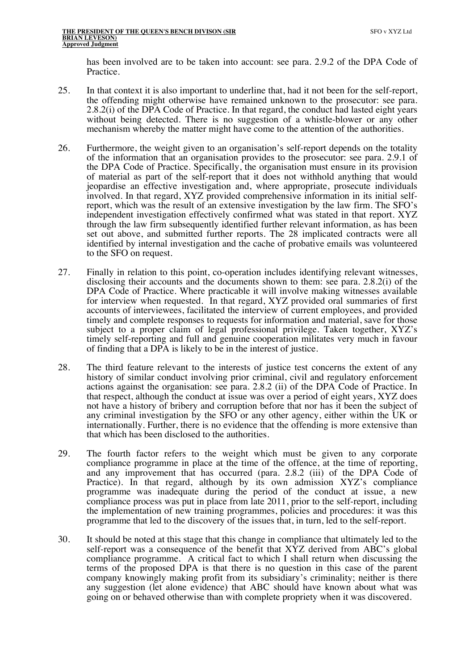has been involved are to be taken into account: see para. 2.9.2 of the DPA Code of Practice.

- 25. In that context it is also important to underline that, had it not been for the self-report, the offending might otherwise have remained unknown to the prosecutor: see para. 2.8.2(i) of the DPA Code of Practice. In that regard, the conduct had lasted eight years without being detected. There is no suggestion of a whistle-blower or any other mechanism whereby the matter might have come to the attention of the authorities.
- 26. Furthermore, the weight given to an organisation's self-report depends on the totality of the information that an organisation provides to the prosecutor: see para. 2.9.1 of the DPA Code of Practice. Specifically, the organisation must ensure in its provision of material as part of the self-report that it does not withhold anything that would jeopardise an effective investigation and, where appropriate, prosecute individuals involved. In that regard, XYZ provided comprehensive information in its initial selfreport, which was the result of an extensive investigation by the law firm. The SFO's independent investigation effectively confirmed what was stated in that report. XYZ through the law firm subsequently identified further relevant information, as has been set out above, and submitted further reports. The 28 implicated contracts were all identified by internal investigation and the cache of probative emails was volunteered to the SFO on request.
- 27. Finally in relation to this point, co-operation includes identifying relevant witnesses, disclosing their accounts and the documents shown to them: see para. 2.8.2(i) of the DPA Code of Practice. Where practicable it will involve making witnesses available for interview when requested. In that regard, XYZ provided oral summaries of first accounts of interviewees, facilitated the interview of current employees, and provided timely and complete responses to requests for information and material, save for those subject to a proper claim of legal professional privilege. Taken together, XYZ's timely self-reporting and full and genuine cooperation militates very much in favour of finding that a DPA is likely to be in the interest of justice.
- 28. The third feature relevant to the interests of justice test concerns the extent of any history of similar conduct involving prior criminal, civil and regulatory enforcement actions against the organisation: see para. 2.8.2 (ii) of the DPA Code of Practice. In that respect, although the conduct at issue was over a period of eight years, XYZ does not have a history of bribery and corruption before that nor has it been the subject of any criminal investigation by the SFO or any other agency, either within the UK or internationally. Further, there is no evidence that the offending is more extensive than that which has been disclosed to the authorities.
- 29. The fourth factor refers to the weight which must be given to any corporate compliance programme in place at the time of the offence, at the time of reporting, and any improvement that has occurred (para. 2.8.2 (iii) of the DPA Code of Practice). In that regard, although by its own admission XYZ's compliance programme was inadequate during the period of the conduct at issue, a new compliance process was put in place from late 2011, prior to the self-report, including the implementation of new training programmes, policies and procedures: it was this programme that led to the discovery of the issues that, in turn, led to the self-report.
- 30. It should be noted at this stage that this change in compliance that ultimately led to the self-report was a consequence of the benefit that XYZ derived from ABC's global compliance programme. A critical fact to which I shall return when discussing the terms of the proposed DPA is that there is no question in this case of the parent company knowingly making profit from its subsidiary's criminality; neither is there any suggestion (let alone evidence) that ABC should have known about what was going on or behaved otherwise than with complete propriety when it was discovered.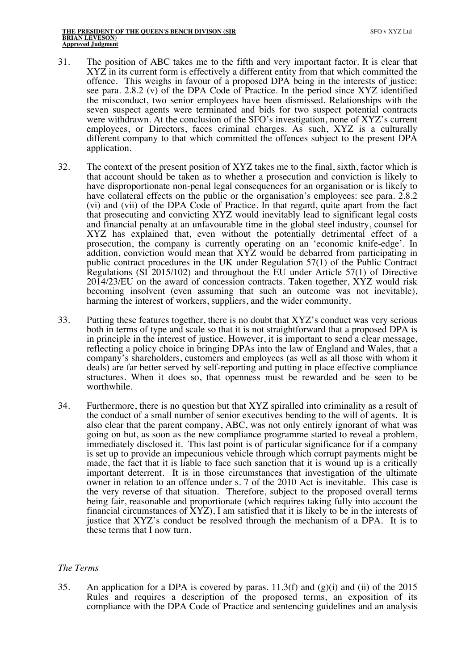- 31. The position of ABC takes me to the fifth and very important factor. It is clear that XYZ in its current form is effectively a different entity from that which committed the offence. This weighs in favour of a proposed DPA being in the interests of justice: see para. 2.8.2 (v) of the DPA Code of Practice. In the period since XYZ identified the misconduct, two senior employees have been dismissed. Relationships with the seven suspect agents were terminated and bids for two suspect potential contracts were withdrawn. At the conclusion of the SFO's investigation, none of XYZ's current employees, or Directors, faces criminal charges. As such, XYZ is a culturally different company to that which committed the offences subject to the present DPA application.
- 32. The context of the present position of XYZ takes me to the final, sixth, factor which is that account should be taken as to whether a prosecution and conviction is likely to have disproportionate non-penal legal consequences for an organisation or is likely to have collateral effects on the public or the organisation's employees: see para. 2.8.2 (vi) and (vii) of the DPA Code of Practice. In that regard, quite apart from the fact that prosecuting and convicting XYZ would inevitably lead to significant legal costs and financial penalty at an unfavourable time in the global steel industry, counsel for XYZ has explained that, even without the potentially detrimental effect of a prosecution, the company is currently operating on an 'economic knife-edge'. In addition, conviction would mean that XYZ would be debarred from participating in public contract procedures in the UK under Regulation 57(1) of the Public Contract Regulations (SI 2015/102) and throughout the EU under Article 57(1) of Directive 2014/23/EU on the award of concession contracts. Taken together, XYZ would risk becoming insolvent (even assuming that such an outcome was not inevitable), harming the interest of workers, suppliers, and the wider community.
- 33. Putting these features together, there is no doubt that XYZ's conduct was very serious both in terms of type and scale so that it is not straightforward that a proposed DPA is in principle in the interest of justice. However, it is important to send a clear message, reflecting a policy choice in bringing DPAs into the law of England and Wales, that a company's shareholders, customers and employees (as well as all those with whom it deals) are far better served by self-reporting and putting in place effective compliance structures. When it does so, that openness must be rewarded and be seen to be worthwhile.
- 34. Furthermore, there is no question but that XYZ spiralled into criminality as a result of the conduct of a small number of senior executives bending to the will of agents. It is also clear that the parent company, ABC, was not only entirely ignorant of what was going on but, as soon as the new compliance programme started to reveal a problem, immediately disclosed it. This last point is of particular significance for if a company is set up to provide an impecunious vehicle through which corrupt payments might be made, the fact that it is liable to face such sanction that it is wound up is a critically important deterrent. It is in those circumstances that investigation of the ultimate owner in relation to an offence under s. 7 of the 2010 Act is inevitable. This case is the very reverse of that situation. Therefore, subject to the proposed overall terms being fair, reasonable and proportionate (which requires taking fully into account the financial circumstances of XYZ), I am satisfied that it is likely to be in the interests of justice that XYZ's conduct be resolved through the mechanism of a DPA. It is to these terms that I now turn.

#### *The Terms*

35. An application for a DPA is covered by paras. 11.3(f) and (g)(i) and (ii) of the 2015 Rules and requires a description of the proposed terms, an exposition of its compliance with the DPA Code of Practice and sentencing guidelines and an analysis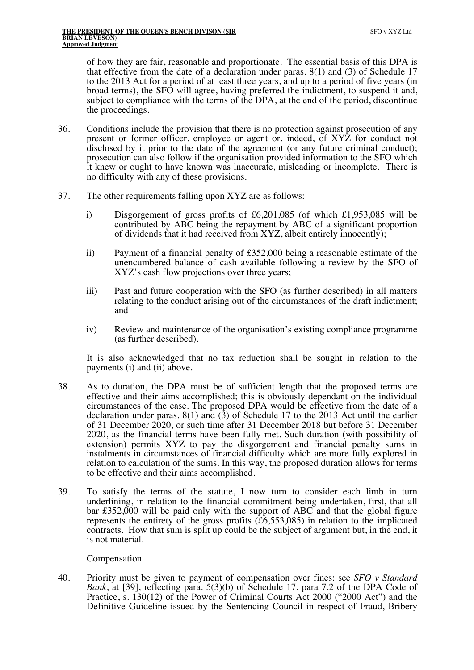of how they are fair, reasonable and proportionate. The essential basis of this DPA is that effective from the date of a declaration under paras.  $8(1)$  and  $(3)$  of Schedule 17 to the 2013 Act for a period of at least three years, and up to a period of five years (in broad terms), the SFO will agree, having preferred the indictment, to suspend it and, subject to compliance with the terms of the DPA, at the end of the period, discontinue the proceedings.

- 36. Conditions include the provision that there is no protection against prosecution of any present or former officer, employee or agent or, indeed, of XYZ for conduct not disclosed by it prior to the date of the agreement (or any future criminal conduct); prosecution can also follow if the organisation provided information to the SFO which it knew or ought to have known was inaccurate, misleading or incomplete. There is no difficulty with any of these provisions.
- 37. The other requirements falling upon XYZ are as follows:
	- i) Disgorgement of gross profits of £6,201,085 (of which £1,953,085 will be contributed by ABC being the repayment by ABC of a significant proportion of dividends that it had received from XYZ, albeit entirely innocently);
	- ii) Payment of a financial penalty of £352,000 being a reasonable estimate of the unencumbered balance of cash available following a review by the SFO of XYZ's cash flow projections over three years;
	- iii) Past and future cooperation with the SFO (as further described) in all matters relating to the conduct arising out of the circumstances of the draft indictment; and
	- iv) Review and maintenance of the organisation's existing compliance programme (as further described).

It is also acknowledged that no tax reduction shall be sought in relation to the payments (i) and (ii) above.

- 38. As to duration, the DPA must be of sufficient length that the proposed terms are effective and their aims accomplished; this is obviously dependant on the individual circumstances of the case. The proposed DPA would be effective from the date of a declaration under paras.  $8(1)$  and  $(3)$  of Schedule 17 to the 2013 Act until the earlier of 31 December 2020, or such time after 31 December 2018 but before 31 December 2020, as the financial terms have been fully met. Such duration (with possibility of extension) permits XYZ to pay the disgorgement and financial penalty sums in instalments in circumstances of financial difficulty which are more fully explored in relation to calculation of the sums. In this way, the proposed duration allows for terms to be effective and their aims accomplished.
- 39. To satisfy the terms of the statute, I now turn to consider each limb in turn underlining, in relation to the financial commitment being undertaken, first, that all bar £352,000 will be paid only with the support of ABC and that the global figure represents the entirety of the gross profits (£6,553,085) in relation to the implicated contracts. How that sum is split up could be the subject of argument but, in the end, it is not material.

#### Compensation

40. Priority must be given to payment of compensation over fines: see *SFO v Standard Bank*, at [39], reflecting para. 5(3)(b) of Schedule 17, para 7.2 of the DPA Code of Practice, s. 130(12) of the Power of Criminal Courts Act 2000 ("2000 Act") and the Definitive Guideline issued by the Sentencing Council in respect of Fraud, Bribery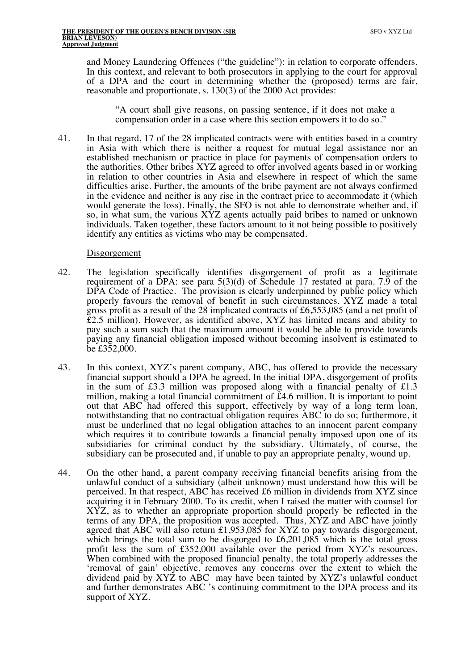and Money Laundering Offences ("the guideline"): in relation to corporate offenders. In this context, and relevant to both prosecutors in applying to the court for approval of a DPA and the court in determining whether the (proposed) terms are fair, reasonable and proportionate, s. 130(3) of the 2000 Act provides:

"A court shall give reasons, on passing sentence, if it does not make a compensation order in a case where this section empowers it to do so."

41. In that regard, 17 of the 28 implicated contracts were with entities based in a country in Asia with which there is neither a request for mutual legal assistance nor an established mechanism or practice in place for payments of compensation orders to the authorities. Other bribes XYZ agreed to offer involved agents based in or working in relation to other countries in Asia and elsewhere in respect of which the same difficulties arise. Further, the amounts of the bribe payment are not always confirmed in the evidence and neither is any rise in the contract price to accommodate it (which would generate the loss). Finally, the SFO is not able to demonstrate whether and, if so, in what sum, the various  $\angle$ XYZ agents actually paid bribes to named or unknown individuals. Taken together, these factors amount to it not being possible to positively identify any entities as victims who may be compensated.

#### Disgorgement

- 42. The legislation specifically identifies disgorgement of profit as a legitimate requirement of a DPA: see para 5(3)(d) of Schedule 17 restated at para. 7.9 of the DPA Code of Practice. The provision is clearly underpinned by public policy which properly favours the removal of benefit in such circumstances. XYZ made a total gross profit as a result of the 28 implicated contracts of £6,553,085 (and a net profit of £2.5 million). However, as identified above, XYZ has limited means and ability to pay such a sum such that the maximum amount it would be able to provide towards paying any financial obligation imposed without becoming insolvent is estimated to be £352,000.
- 43. In this context, XYZ's parent company, ABC, has offered to provide the necessary financial support should a DPA be agreed. In the initial DPA, disgorgement of profits in the sum of £3.3 million was proposed along with a financial penalty of £1.3 million, making a total financial commitment of £4.6 million. It is important to point out that ABC had offered this support, effectively by way of a long term loan, notwithstanding that no contractual obligation requires ABC to do so; furthermore, it must be underlined that no legal obligation attaches to an innocent parent company which requires it to contribute towards a financial penalty imposed upon one of its subsidiaries for criminal conduct by the subsidiary. Ultimately, of course, the subsidiary can be prosecuted and, if unable to pay an appropriate penalty, wound up.
- 44. On the other hand, a parent company receiving financial benefits arising from the unlawful conduct of a subsidiary (albeit unknown) must understand how this will be perceived. In that respect, ABC has received £6 million in dividends from XYZ since acquiring it in February 2000. To its credit, when I raised the matter with counsel for XYZ, as to whether an appropriate proportion should properly be reflected in the terms of any DPA, the proposition was accepted. Thus, XYZ and ABC have jointly agreed that ABC will also return £1,953,085 for XYZ to pay towards disgorgement, which brings the total sum to be disgorged to  $\text{\pounds}6,201,085$  which is the total gross profit less the sum of £352,000 available over the period from XYZ's resources. When combined with the proposed financial penalty, the total properly addresses the 'removal of gain' objective, removes any concerns over the extent to which the dividend paid by XYZ to ABC may have been tainted by XYZ's unlawful conduct and further demonstrates ABC 's continuing commitment to the DPA process and its support of XYZ.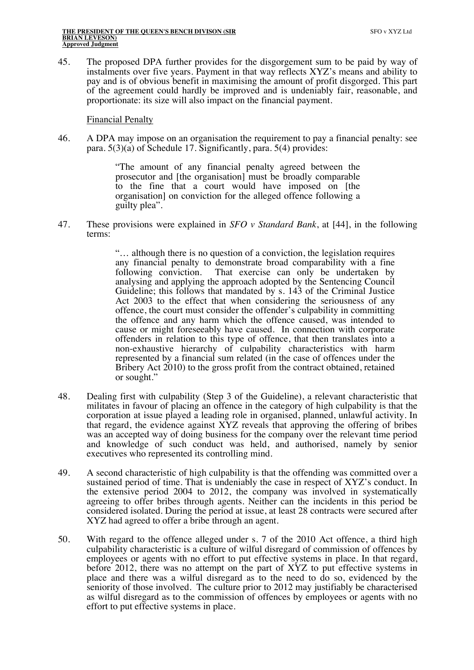45. The proposed DPA further provides for the disgorgement sum to be paid by way of instalments over five years. Payment in that way reflects XYZ's means and ability to pay and is of obvious benefit in maximising the amount of profit disgorged. This part of the agreement could hardly be improved and is undeniably fair, reasonable, and proportionate: its size will also impact on the financial payment.

Financial Penalty

46. A DPA may impose on an organisation the requirement to pay a financial penalty: see para. 5(3)(a) of Schedule 17. Significantly, para. 5(4) provides:

> "The amount of any financial penalty agreed between the prosecutor and [the organisation] must be broadly comparable to the fine that a court would have imposed on [the organisation] on conviction for the alleged offence following a guilty plea".

47. These provisions were explained in *SFO v Standard Bank*, at [44], in the following terms:

> "… although there is no question of a conviction, the legislation requires any financial penalty to demonstrate broad comparability with a fine following conviction. That exercise can only be undertaken by analysing and applying the approach adopted by the Sentencing Council Guideline; this follows that mandated by s. 143 of the Criminal Justice Act 2003 to the effect that when considering the seriousness of any offence, the court must consider the offender's culpability in committing the offence and any harm which the offence caused, was intended to cause or might foreseeably have caused. In connection with corporate offenders in relation to this type of offence, that then translates into a non-exhaustive hierarchy of culpability characteristics with harm represented by a financial sum related (in the case of offences under the Bribery Act 2010) to the gross profit from the contract obtained, retained or sought."

- 48. Dealing first with culpability (Step 3 of the Guideline), a relevant characteristic that militates in favour of placing an offence in the category of high culpability is that the corporation at issue played a leading role in organised, planned, unlawful activity. In that regard, the evidence against XYZ reveals that approving the offering of bribes was an accepted way of doing business for the company over the relevant time period and knowledge of such conduct was held, and authorised, namely by senior executives who represented its controlling mind.
- 49. A second characteristic of high culpability is that the offending was committed over a sustained period of time. That is undeniably the case in respect of XYZ's conduct. In the extensive period 2004 to 2012, the company was involved in systematically agreeing to offer bribes through agents. Neither can the incidents in this period be considered isolated. During the period at issue, at least 28 contracts were secured after XYZ had agreed to offer a bribe through an agent.
- 50. With regard to the offence alleged under s. 7 of the 2010 Act offence, a third high culpability characteristic is a culture of wilful disregard of commission of offences by employees or agents with no effort to put effective systems in place. In that regard, before 2012, there was no attempt on the part of XYZ to put effective systems in place and there was a wilful disregard as to the need to do so, evidenced by the seniority of those involved. The culture prior to 2012 may justifiably be characterised as wilful disregard as to the commission of offences by employees or agents with no effort to put effective systems in place.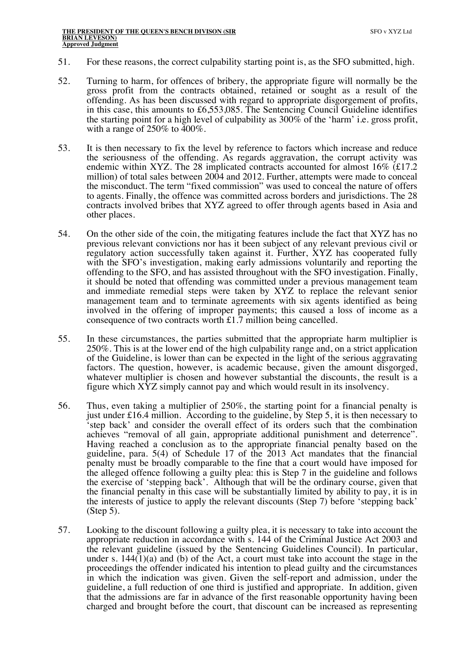- 51. For these reasons, the correct culpability starting point is, as the SFO submitted, high.
- 52. Turning to harm, for offences of bribery, the appropriate figure will normally be the gross profit from the contracts obtained, retained or sought as a result of the offending. As has been discussed with regard to appropriate disgorgement of profits, in this case, this amounts to £6,553,085. The Sentencing Council Guideline identifies the starting point for a high level of culpability as  $300\%$  of the 'harm' i.e. gross profit, with a range of 250% to 400%.
- 53. It is then necessary to fix the level by reference to factors which increase and reduce the seriousness of the offending. As regards aggravation, the corrupt activity was endemic within XYZ. The 28 implicated contracts accounted for almost 16% (£17.2 million) of total sales between 2004 and 2012. Further, attempts were made to conceal the misconduct. The term "fixed commission" was used to conceal the nature of offers to agents. Finally, the offence was committed across borders and jurisdictions. The 28 contracts involved bribes that XYZ agreed to offer through agents based in Asia and other places.
- 54. On the other side of the coin, the mitigating features include the fact that XYZ has no previous relevant convictions nor has it been subject of any relevant previous civil or regulatory action successfully taken against it. Further, XYZ has cooperated fully with the SFO's investigation, making early admissions voluntarily and reporting the offending to the SFO, and has assisted throughout with the SFO investigation. Finally, it should be noted that offending was committed under a previous management team and immediate remedial steps were taken by XYZ to replace the relevant senior management team and to terminate agreements with six agents identified as being involved in the offering of improper payments; this caused a loss of income as a consequence of two contracts worth £1.7 million being cancelled.
- 55. In these circumstances, the parties submitted that the appropriate harm multiplier is 250%. This is at the lower end of the high culpability range and, on a strict application of the Guideline, is lower than can be expected in the light of the serious aggravating factors. The question, however, is academic because, given the amount disgorged, whatever multiplier is chosen and however substantial the discounts, the result is a figure which XYZ simply cannot pay and which would result in its insolvency.
- 56. Thus, even taking a multiplier of 250%, the starting point for a financial penalty is just under £16.4 million. According to the guideline, by Step 5, it is then necessary to 'step back' and consider the overall effect of its orders such that the combination achieves "removal of all gain, appropriate additional punishment and deterrence". Having reached a conclusion as to the appropriate financial penalty based on the guideline, para. 5(4) of Schedule 17 of the 2013 Act mandates that the financial penalty must be broadly comparable to the fine that a court would have imposed for the alleged offence following a guilty plea: this is Step 7 in the guideline and follows the exercise of 'stepping back'. Although that will be the ordinary course, given that the financial penalty in this case will be substantially limited by ability to pay, it is in the interests of justice to apply the relevant discounts (Step 7) before 'stepping back' (Step 5).
- 57. Looking to the discount following a guilty plea, it is necessary to take into account the appropriate reduction in accordance with s. 144 of the Criminal Justice Act 2003 and the relevant guideline (issued by the Sentencing Guidelines Council). In particular, under s.  $144(1)(a)$  and (b) of the Act, a court must take into account the stage in the proceedings the offender indicated his intention to plead guilty and the circumstances in which the indication was given. Given the self-report and admission, under the guideline, a full reduction of one third is justified and appropriate. In addition, given that the admissions are far in advance of the first reasonable opportunity having been charged and brought before the court, that discount can be increased as representing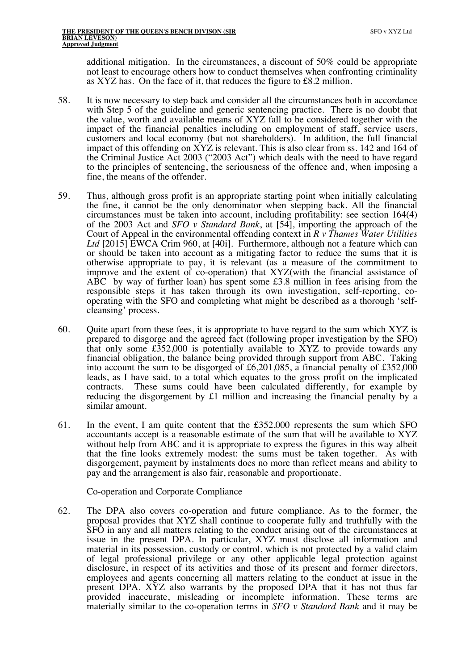additional mitigation. In the circumstances, a discount of 50% could be appropriate not least to encourage others how to conduct themselves when confronting criminality as XYZ has. On the face of it, that reduces the figure to £8.2 million.

- 58. It is now necessary to step back and consider all the circumstances both in accordance with Step 5 of the guideline and generic sentencing practice. There is no doubt that the value, worth and available means of XYZ fall to be considered together with the impact of the financial penalties including on employment of staff, service users, customers and local economy (but not shareholders). In addition, the full financial impact of this offending on XYZ is relevant. This is also clear from ss. 142 and 164 of the Criminal Justice Act 2003 ("2003 Act") which deals with the need to have regard to the principles of sentencing, the seriousness of the offence and, when imposing a fine, the means of the offender.
- 59. Thus, although gross profit is an appropriate starting point when initially calculating the fine, it cannot be the only denominator when stepping back. All the financial circumstances must be taken into account, including profitability: see section 164(4) of the 2003 Act and *SFO v Standard Bank*, at [54], importing the approach of the Court of Appeal in the environmental offending context in *R v Thames Water Utilities Ltd* [2015] EWCA Crim 960, at [40i]. Furthermore, although not a feature which can or should be taken into account as a mitigating factor to reduce the sums that it is otherwise appropriate to pay, it is relevant (as a measure of the commitment to improve and the extent of co-operation) that XYZ(with the financial assistance of ABC by way of further loan) has spent some £3.8 million in fees arising from the responsible steps it has taken through its own investigation, self-reporting, cooperating with the SFO and completing what might be described as a thorough 'selfcleansing' process.
- 60. Quite apart from these fees, it is appropriate to have regard to the sum which XYZ is prepared to disgorge and the agreed fact (following proper investigation by the SFO) that only some  $\text{\textsterling}352,000$  is potentially available to  $\overline{XYZ}$  to provide towards any financial obligation, the balance being provided through support from ABC. Taking into account the sum to be disgorged of £6,201,085, a financial penalty of £352,000 leads, as I have said, to a total which equates to the gross profit on the implicated contracts. These sums could have been calculated differently, for example by reducing the disgorgement by £1 million and increasing the financial penalty by a similar amount.
- 61. In the event, I am quite content that the £352,000 represents the sum which SFO accountants accept is a reasonable estimate of the sum that will be available to XYZ without help from ABC and it is appropriate to express the figures in this way albeit that the fine looks extremely modest: the sums must be taken together. As with disgorgement, payment by instalments does no more than reflect means and ability to pay and the arrangement is also fair, reasonable and proportionate.

#### Co-operation and Corporate Compliance

62. The DPA also covers co-operation and future compliance. As to the former, the proposal provides that XYZ shall continue to cooperate fully and truthfully with the SFO in any and all matters relating to the conduct arising out of the circumstances at issue in the present DPA. In particular, XYZ must disclose all information and material in its possession, custody or control, which is not protected by a valid claim of legal professional privilege or any other applicable legal protection against disclosure, in respect of its activities and those of its present and former directors, employees and agents concerning all matters relating to the conduct at issue in the present DPA. XYZ also warrants by the proposed DPA that it has not thus far provided inaccurate, misleading or incomplete information. These terms are materially similar to the co-operation terms in *SFO v Standard Bank* and it may be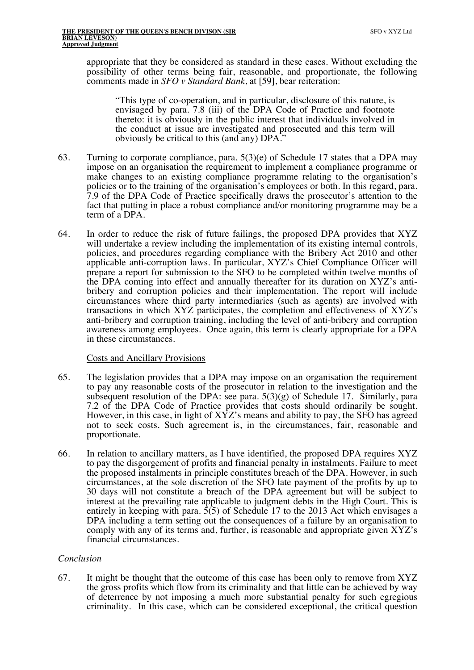appropriate that they be considered as standard in these cases. Without excluding the possibility of other terms being fair, reasonable, and proportionate, the following comments made in *SFO v Standard Bank*, at [59], bear reiteration:

"This type of co-operation, and in particular, disclosure of this nature, is envisaged by para. 7.8 (iii) of the DPA Code of Practice and footnote thereto: it is obviously in the public interest that individuals involved in the conduct at issue are investigated and prosecuted and this term will obviously be critical to this (and any) DPA."

- 63. Turning to corporate compliance, para. 5(3)(e) of Schedule 17 states that a DPA may impose on an organisation the requirement to implement a compliance programme or make changes to an existing compliance programme relating to the organisation's policies or to the training of the organisation's employees or both. In this regard, para. 7.9 of the DPA Code of Practice specifically draws the prosecutor's attention to the fact that putting in place a robust compliance and/or monitoring programme may be a term of a DPA.
- 64. In order to reduce the risk of future failings, the proposed DPA provides that XYZ will undertake a review including the implementation of its existing internal controls, policies, and procedures regarding compliance with the Bribery Act 2010 and other applicable anti-corruption laws. In particular, XYZ's Chief Compliance Officer will prepare a report for submission to the SFO to be completed within twelve months of the DPA coming into effect and annually thereafter for its duration on XYZ's antibribery and corruption policies and their implementation. The report will include circumstances where third party intermediaries (such as agents) are involved with transactions in which XYZ participates, the completion and effectiveness of XYZ's anti-bribery and corruption training, including the level of anti-bribery and corruption awareness among employees. Once again, this term is clearly appropriate for a DPA in these circumstances.

#### Costs and Ancillary Provisions

- 65. The legislation provides that a DPA may impose on an organisation the requirement to pay any reasonable costs of the prosecutor in relation to the investigation and the subsequent resolution of the DPA: see para.  $5(3)(g)$  of Schedule 17. Similarly, para 7.2 of the DPA Code of Practice provides that costs should ordinarily be sought. However, in this case, in light of XYZ's means and ability to pay, the SFO has agreed not to seek costs. Such agreement is, in the circumstances, fair, reasonable and proportionate.
- 66. In relation to ancillary matters, as I have identified, the proposed DPA requires XYZ to pay the disgorgement of profits and financial penalty in instalments. Failure to meet the proposed instalments in principle constitutes breach of the DPA. However, in such circumstances, at the sole discretion of the SFO late payment of the profits by up to 30 days will not constitute a breach of the DPA agreement but will be subject to interest at the prevailing rate applicable to judgment debts in the High Court. This is entirely in keeping with para.  $\frac{5}{5}$  of Schedule 17 to the 2013 Act which envisages a DPA including a term setting out the consequences of a failure by an organisation to comply with any of its terms and, further, is reasonable and appropriate given XYZ's financial circumstances.

#### *Conclusion*

67. It might be thought that the outcome of this case has been only to remove from XYZ the gross profits which flow from its criminality and that little can be achieved by way of deterrence by not imposing a much more substantial penalty for such egregious criminality. In this case, which can be considered exceptional, the critical question